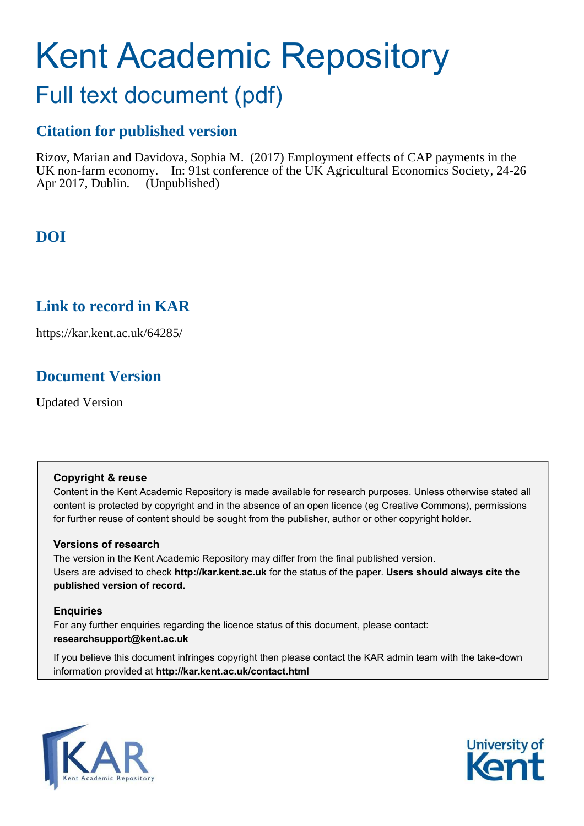# Kent Academic Repository

## Full text document (pdf)

## **Citation for published version**

Rizov, Marian and Davidova, Sophia M. (2017) Employment effects of CAP payments in the UK non-farm economy. In: 91st conference of the UK Agricultural Economics Society, 24-26 Apr 2017, Dublin. (Unpublished)

## **DOI**

### **Link to record in KAR**

https://kar.kent.ac.uk/64285/

## **Document Version**

Updated Version

#### **Copyright & reuse**

Content in the Kent Academic Repository is made available for research purposes. Unless otherwise stated all content is protected by copyright and in the absence of an open licence (eg Creative Commons), permissions for further reuse of content should be sought from the publisher, author or other copyright holder.

#### **Versions of research**

The version in the Kent Academic Repository may differ from the final published version. Users are advised to check **http://kar.kent.ac.uk** for the status of the paper. **Users should always cite the published version of record.**

#### **Enquiries**

For any further enquiries regarding the licence status of this document, please contact: **researchsupport@kent.ac.uk**

If you believe this document infringes copyright then please contact the KAR admin team with the take-down information provided at **http://kar.kent.ac.uk/contact.html**



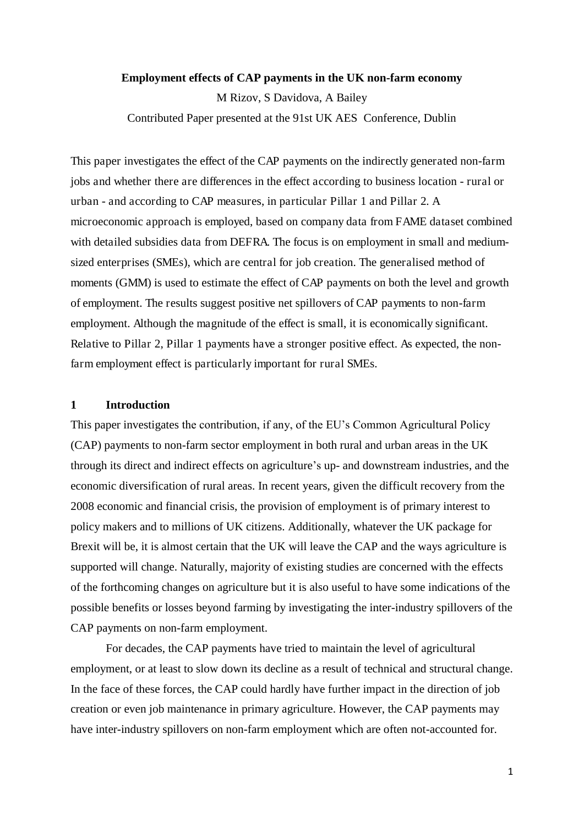#### **Employment effects of CAP payments in the UK non-farm economy**

M Rizov, S Davidova, A Bailey Contributed Paper presented at the 91st UK AES Conference, Dublin

This paper investigates the effect of the CAP payments on the indirectly generated non-farm jobs and whether there are differences in the effect according to business location - rural or urban - and according to CAP measures, in particular Pillar 1 and Pillar 2. A microeconomic approach is employed, based on company data from FAME dataset combined with detailed subsidies data from DEFRA. The focus is on employment in small and mediumsized enterprises (SMEs), which are central for job creation. The generalised method of moments (GMM) is used to estimate the effect of CAP payments on both the level and growth of employment. The results suggest positive net spillovers of CAP payments to non-farm employment. Although the magnitude of the effect is small, it is economically significant. Relative to Pillar 2, Pillar 1 payments have a stronger positive effect. As expected, the nonfarm employment effect is particularly important for rural SMEs.

#### **1 Introduction**

This paper investigates the contribution, if any, of the EU's Common Agricultural Policy (CAP) payments to non-farm sector employment in both rural and urban areas in the UK through its direct and indirect effects on agriculture's up- and downstream industries, and the economic diversification of rural areas. In recent years, given the difficult recovery from the 2008 economic and financial crisis, the provision of employment is of primary interest to policy makers and to millions of UK citizens. Additionally, whatever the UK package for Brexit will be, it is almost certain that the UK will leave the CAP and the ways agriculture is supported will change. Naturally, majority of existing studies are concerned with the effects of the forthcoming changes on agriculture but it is also useful to have some indications of the possible benefits or losses beyond farming by investigating the inter-industry spillovers of the CAP payments on non-farm employment.

For decades, the CAP payments have tried to maintain the level of agricultural employment, or at least to slow down its decline as a result of technical and structural change. In the face of these forces, the CAP could hardly have further impact in the direction of job creation or even job maintenance in primary agriculture. However, the CAP payments may have inter-industry spillovers on non-farm employment which are often not-accounted for.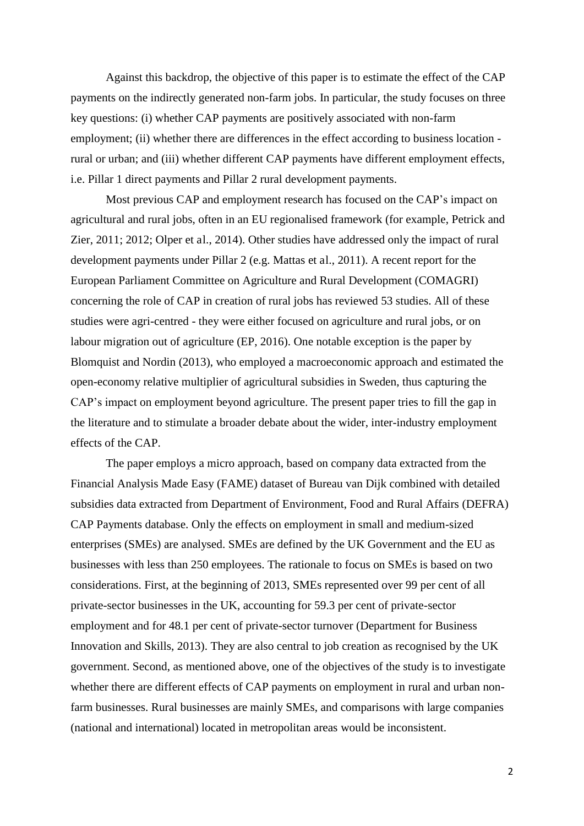Against this backdrop, the objective of this paper is to estimate the effect of the CAP payments on the indirectly generated non-farm jobs. In particular, the study focuses on three key questions: (i) whether CAP payments are positively associated with non-farm employment; (ii) whether there are differences in the effect according to business location rural or urban; and (iii) whether different CAP payments have different employment effects, i.e. Pillar 1 direct payments and Pillar 2 rural development payments.

Most previous CAP and employment research has focused on the CAP's impact on agricultural and rural jobs, often in an EU regionalised framework (for example, Petrick and Zier, 2011; 2012; Olper et al., 2014). Other studies have addressed only the impact of rural development payments under Pillar 2 (e.g. Mattas et al., 2011). A recent report for the European Parliament Committee on Agriculture and Rural Development (COMAGRI) concerning the role of CAP in creation of rural jobs has reviewed 53 studies. All of these studies were agri-centred - they were either focused on agriculture and rural jobs, or on labour migration out of agriculture (EP, 2016). One notable exception is the paper by Blomquist and Nordin (2013), who employed a macroeconomic approach and estimated the open-economy relative multiplier of agricultural subsidies in Sweden, thus capturing the CAP's impact on employment beyond agriculture. The present paper tries to fill the gap in the literature and to stimulate a broader debate about the wider, inter-industry employment effects of the CAP.

The paper employs a micro approach, based on company data extracted from the Financial Analysis Made Easy (FAME) dataset of Bureau van Dijk combined with detailed subsidies data extracted from Department of Environment, Food and Rural Affairs (DEFRA) CAP Payments database. Only the effects on employment in small and medium-sized enterprises (SMEs) are analysed. SMEs are defined by the UK Government and the EU as businesses with less than 250 employees. The rationale to focus on SMEs is based on two considerations. First, at the beginning of 2013, SMEs represented over 99 per cent of all private-sector businesses in the UK, accounting for 59.3 per cent of private-sector employment and for 48.1 per cent of private-sector turnover (Department for Business Innovation and Skills, 2013). They are also central to job creation as recognised by the UK government. Second, as mentioned above, one of the objectives of the study is to investigate whether there are different effects of CAP payments on employment in rural and urban nonfarm businesses. Rural businesses are mainly SMEs, and comparisons with large companies (national and international) located in metropolitan areas would be inconsistent.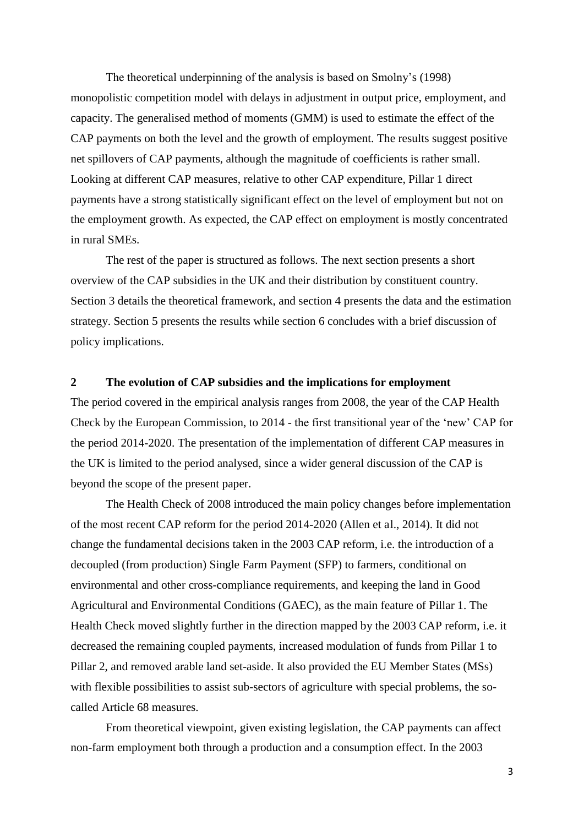The theoretical underpinning of the analysis is based on Smolny's (1998) monopolistic competition model with delays in adjustment in output price, employment, and capacity. The generalised method of moments (GMM) is used to estimate the effect of the CAP payments on both the level and the growth of employment. The results suggest positive net spillovers of CAP payments, although the magnitude of coefficients is rather small. Looking at different CAP measures, relative to other CAP expenditure, Pillar 1 direct payments have a strong statistically significant effect on the level of employment but not on the employment growth. As expected, the CAP effect on employment is mostly concentrated in rural SMEs.

The rest of the paper is structured as follows. The next section presents a short overview of the CAP subsidies in the UK and their distribution by constituent country. Section 3 details the theoretical framework, and section 4 presents the data and the estimation strategy. Section 5 presents the results while section 6 concludes with a brief discussion of policy implications.

#### **2 The evolution of CAP subsidies and the implications for employment**

The period covered in the empirical analysis ranges from 2008, the year of the CAP Health Check by the European Commission, to 2014 - the first transitional year of the 'new' CAP for the period 2014-2020. The presentation of the implementation of different CAP measures in the UK is limited to the period analysed, since a wider general discussion of the CAP is beyond the scope of the present paper.

The Health Check of 2008 introduced the main policy changes before implementation of the most recent CAP reform for the period 2014-2020 (Allen et al., 2014). It did not change the fundamental decisions taken in the 2003 CAP reform, i.e. the introduction of a decoupled (from production) Single Farm Payment (SFP) to farmers, conditional on environmental and other cross-compliance requirements, and keeping the land in Good Agricultural and Environmental Conditions (GAEC), as the main feature of Pillar 1. The Health Check moved slightly further in the direction mapped by the 2003 CAP reform, i.e. it decreased the remaining coupled payments, increased modulation of funds from Pillar 1 to Pillar 2, and removed arable land set-aside. It also provided the EU Member States (MSs) with flexible possibilities to assist sub-sectors of agriculture with special problems, the socalled Article 68 measures.

From theoretical viewpoint, given existing legislation, the CAP payments can affect non-farm employment both through a production and a consumption effect. In the 2003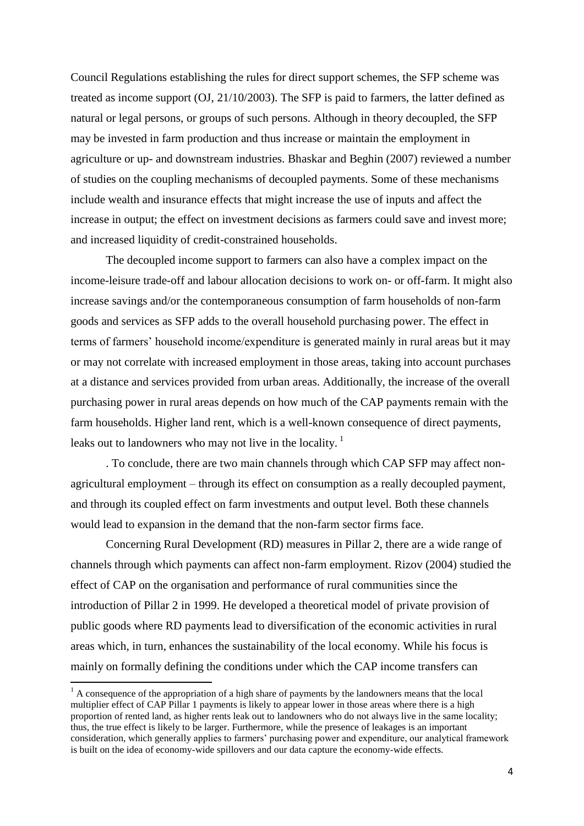Council Regulations establishing the rules for direct support schemes, the SFP scheme was treated as income support (OJ, 21/10/2003). The SFP is paid to farmers, the latter defined as natural or legal persons, or groups of such persons. Although in theory decoupled, the SFP may be invested in farm production and thus increase or maintain the employment in agriculture or up- and downstream industries. Bhaskar and Beghin (2007) reviewed a number of studies on the coupling mechanisms of decoupled payments. Some of these mechanisms include wealth and insurance effects that might increase the use of inputs and affect the increase in output; the effect on investment decisions as farmers could save and invest more; and increased liquidity of credit-constrained households.

The decoupled income support to farmers can also have a complex impact on the income-leisure trade-off and labour allocation decisions to work on- or off-farm. It might also increase savings and/or the contemporaneous consumption of farm households of non-farm goods and services as SFP adds to the overall household purchasing power. The effect in terms of farmers' household income/expenditure is generated mainly in rural areas but it may or may not correlate with increased employment in those areas, taking into account purchases at a distance and services provided from urban areas. Additionally, the increase of the overall purchasing power in rural areas depends on how much of the CAP payments remain with the farm households. Higher land rent, which is a well-known consequence of direct payments, leaks out to landowners who may not live in the locality.<sup>1</sup>

. To conclude, there are two main channels through which CAP SFP may affect nonagricultural employment – through its effect on consumption as a really decoupled payment, and through its coupled effect on farm investments and output level. Both these channels would lead to expansion in the demand that the non-farm sector firms face.

Concerning Rural Development (RD) measures in Pillar 2, there are a wide range of channels through which payments can affect non-farm employment. Rizov (2004) studied the effect of CAP on the organisation and performance of rural communities since the introduction of Pillar 2 in 1999. He developed a theoretical model of private provision of public goods where RD payments lead to diversification of the economic activities in rural areas which, in turn, enhances the sustainability of the local economy. While his focus is mainly on formally defining the conditions under which the CAP income transfers can

 $<sup>1</sup>$  A consequence of the appropriation of a high share of payments by the landowners means that the local</sup> multiplier effect of CAP Pillar 1 payments is likely to appear lower in those areas where there is a high proportion of rented land, as higher rents leak out to landowners who do not always live in the same locality; thus, the true effect is likely to be larger. Furthermore, while the presence of leakages is an important consideration, which generally applies to farmers' purchasing power and expenditure, our analytical framework is built on the idea of economy-wide spillovers and our data capture the economy-wide effects.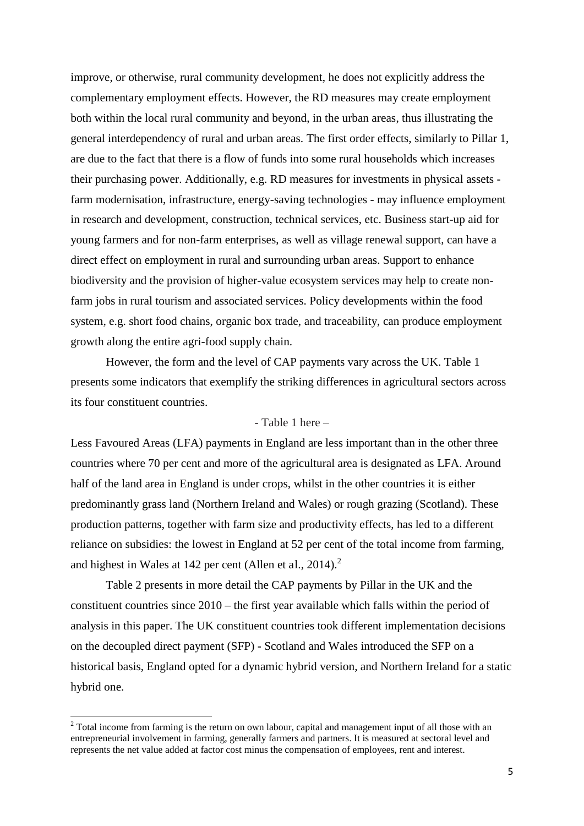improve, or otherwise, rural community development, he does not explicitly address the complementary employment effects. However, the RD measures may create employment both within the local rural community and beyond, in the urban areas, thus illustrating the general interdependency of rural and urban areas. The first order effects, similarly to Pillar 1, are due to the fact that there is a flow of funds into some rural households which increases their purchasing power. Additionally, e.g. RD measures for investments in physical assets farm modernisation, infrastructure, energy-saving technologies - may influence employment in research and development, construction, technical services, etc. Business start-up aid for young farmers and for non-farm enterprises, as well as village renewal support, can have a direct effect on employment in rural and surrounding urban areas. Support to enhance biodiversity and the provision of higher-value ecosystem services may help to create nonfarm jobs in rural tourism and associated services. Policy developments within the food system, e.g. short food chains, organic box trade, and traceability, can produce employment growth along the entire agri-food supply chain.

However, the form and the level of CAP payments vary across the UK. Table 1 presents some indicators that exemplify the striking differences in agricultural sectors across its four constituent countries.

#### - Table 1 here –

Less Favoured Areas (LFA) payments in England are less important than in the other three countries where 70 per cent and more of the agricultural area is designated as LFA. Around half of the land area in England is under crops, whilst in the other countries it is either predominantly grass land (Northern Ireland and Wales) or rough grazing (Scotland). These production patterns, together with farm size and productivity effects, has led to a different reliance on subsidies: the lowest in England at 52 per cent of the total income from farming, and highest in Wales at 142 per cent (Allen et al., 2014).<sup>2</sup>

Table 2 presents in more detail the CAP payments by Pillar in the UK and the constituent countries since 2010 – the first year available which falls within the period of analysis in this paper. The UK constituent countries took different implementation decisions on the decoupled direct payment (SFP) - Scotland and Wales introduced the SFP on a historical basis, England opted for a dynamic hybrid version, and Northern Ireland for a static hybrid one.

 $2$  Total income from farming is the return on own labour, capital and management input of all those with an entrepreneurial involvement in farming, generally farmers and partners. It is measured at sectoral level and represents the net value added at factor cost minus the compensation of employees, rent and interest.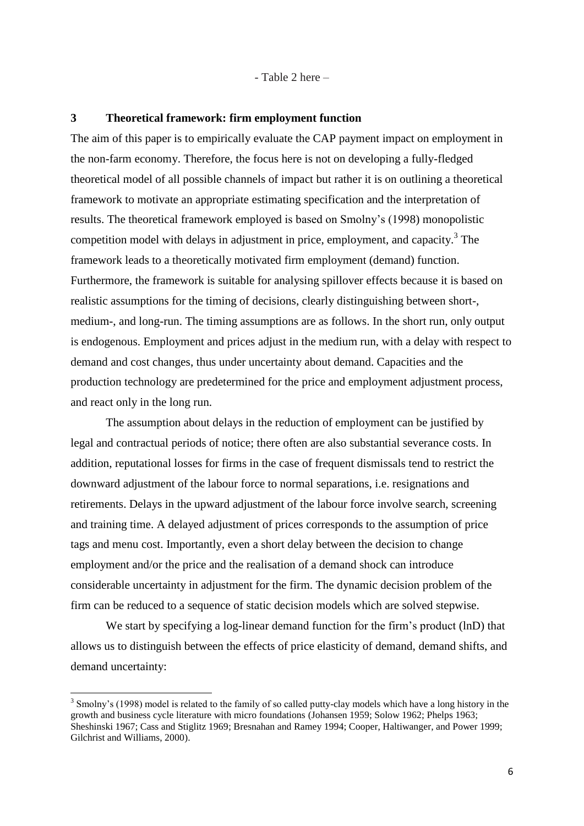#### - Table 2 here –

#### **3 Theoretical framework: firm employment function**

The aim of this paper is to empirically evaluate the CAP payment impact on employment in the non-farm economy. Therefore, the focus here is not on developing a fully-fledged theoretical model of all possible channels of impact but rather it is on outlining a theoretical framework to motivate an appropriate estimating specification and the interpretation of results. The theoretical framework employed is based on Smolny's (1998) monopolistic competition model with delays in adjustment in price, employment, and capacity.<sup>3</sup> The framework leads to a theoretically motivated firm employment (demand) function. Furthermore, the framework is suitable for analysing spillover effects because it is based on realistic assumptions for the timing of decisions, clearly distinguishing between short-, medium-, and long-run. The timing assumptions are as follows. In the short run, only output is endogenous. Employment and prices adjust in the medium run, with a delay with respect to demand and cost changes, thus under uncertainty about demand. Capacities and the production technology are predetermined for the price and employment adjustment process, and react only in the long run.

The assumption about delays in the reduction of employment can be justified by legal and contractual periods of notice; there often are also substantial severance costs. In addition, reputational losses for firms in the case of frequent dismissals tend to restrict the downward adjustment of the labour force to normal separations, i.e. resignations and retirements. Delays in the upward adjustment of the labour force involve search, screening and training time. A delayed adjustment of prices corresponds to the assumption of price tags and menu cost. Importantly, even a short delay between the decision to change employment and/or the price and the realisation of a demand shock can introduce considerable uncertainty in adjustment for the firm. The dynamic decision problem of the firm can be reduced to a sequence of static decision models which are solved stepwise.

We start by specifying a log-linear demand function for the firm's product (lnD) that allows us to distinguish between the effects of price elasticity of demand, demand shifts, and demand uncertainty:

<sup>&</sup>lt;sup>3</sup> Smolny's (1998) model is related to the family of so called putty-clay models which have a long history in the growth and business cycle literature with micro foundations (Johansen 1959; Solow 1962; Phelps 1963; Sheshinski 1967; Cass and Stiglitz 1969; Bresnahan and Ramey 1994; Cooper, Haltiwanger, and Power 1999; Gilchrist and Williams, 2000).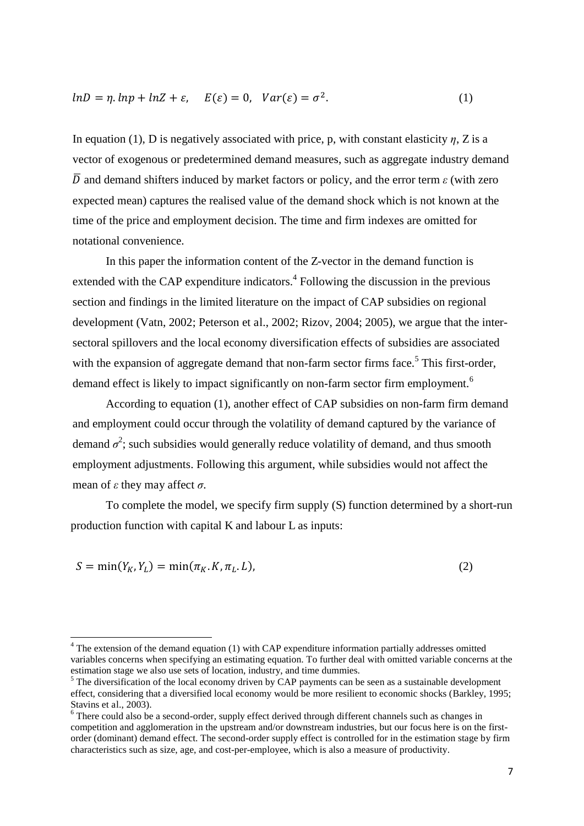$$
lnD = \eta \cdot lnp + lnZ + \varepsilon, \quad E(\varepsilon) = 0, \quad Var(\varepsilon) = \sigma^2. \tag{1}
$$

In equation (1), D is negatively associated with price, p, with constant elasticity  $\eta$ , Z is a vector of exogenous or predetermined demand measures, such as aggregate industry demand  $\overline{D}$  and demand shifters induced by market factors or policy, and the error term  $\varepsilon$  (with zero expected mean) captures the realised value of the demand shock which is not known at the time of the price and employment decision. The time and firm indexes are omitted for notational convenience.

In this paper the information content of the Z-vector in the demand function is extended with the CAP expenditure indicators. $4$  Following the discussion in the previous section and findings in the limited literature on the impact of CAP subsidies on regional development (Vatn, 2002; Peterson et al., 2002; Rizov, 2004; 2005), we argue that the intersectoral spillovers and the local economy diversification effects of subsidies are associated with the expansion of aggregate demand that non-farm sector firms face.<sup>5</sup> This first-order, demand effect is likely to impact significantly on non-farm sector firm employment.<sup>6</sup>

According to equation (1), another effect of CAP subsidies on non-farm firm demand and employment could occur through the volatility of demand captured by the variance of demand  $\sigma^2$ ; such subsidies would generally reduce volatility of demand, and thus smooth employment adjustments. Following this argument, while subsidies would not affect the mean of  $\varepsilon$  they may affect  $\sigma$ .

To complete the model, we specify firm supply (S) function determined by a short-run production function with capital K and labour L as inputs:

 $S = \min(Y_K, Y_L) = \min(\pi_K, K, \pi_L)$  $\ldots$   $\ldots$   $\ldots$   $\ldots$   $\ldots$   $\ldots$   $\ldots$   $\ldots$   $\ldots$   $\ldots$   $\ldots$   $\ldots$   $\ldots$   $\ldots$   $\ldots$   $\ldots$   $\ldots$   $\ldots$   $\ldots$   $\ldots$   $\ldots$   $\ldots$   $\ldots$   $\ldots$   $\ldots$   $\ldots$   $\ldots$   $\ldots$   $\ldots$   $\ldots$   $\ldots$   $\ldots$   $\ldots$   $\ldots$   $\ldots$   $\ldots$   $\ldots$ 

 $4$  The extension of the demand equation (1) with CAP expenditure information partially addresses omitted variables concerns when specifying an estimating equation. To further deal with omitted variable concerns at the estimation stage we also use sets of location, industry, and time dummies.

 $<sup>5</sup>$  The diversification of the local economy driven by CAP payments can be seen as a sustainable development</sup> effect, considering that a diversified local economy would be more resilient to economic shocks (Barkley, 1995; Stavins et al., 2003).

<sup>&</sup>lt;sup>6</sup> There could also be a second-order, supply effect derived through different channels such as changes in competition and agglomeration in the upstream and/or downstream industries, but our focus here is on the firstorder (dominant) demand effect. The second-order supply effect is controlled for in the estimation stage by firm characteristics such as size, age, and cost-per-employee, which is also a measure of productivity.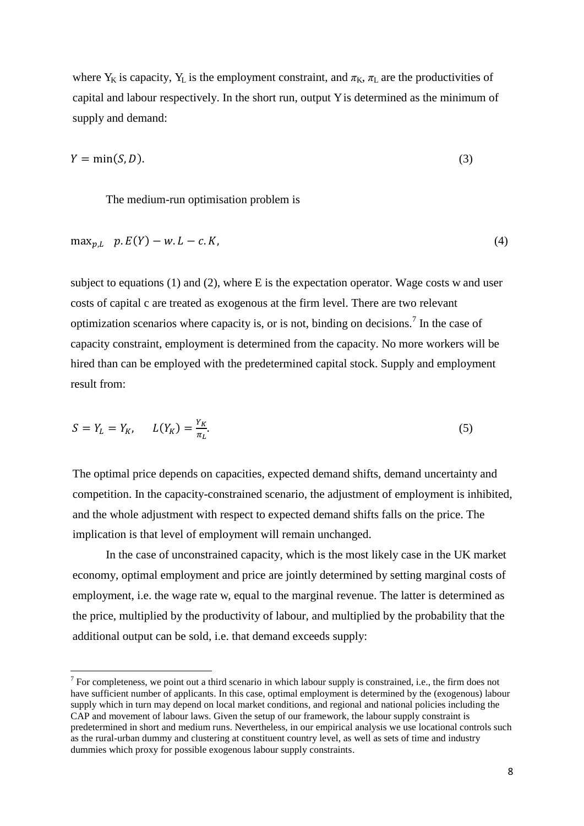where  $Y_K$  is capacity,  $Y_L$  is the employment constraint, and  $\pi_K$ ,  $\pi_L$  are the productivities of capital and labour respectively. In the short run, output Y is determined as the minimum of supply and demand:

$$
Y = \min(S, D). \tag{3}
$$

The medium-run optimisation problem is

 $\overline{a}$ 

$$
\max_{p,L} \quad p.E(Y) - w.L - c.K,\tag{4}
$$

subject to equations (1) and (2), where E is the expectation operator. Wage costs w and user costs of capital c are treated as exogenous at the firm level. There are two relevant optimization scenarios where capacity is, or is not, binding on decisions.<sup>7</sup> In the case of capacity constraint, employment is determined from the capacity. No more workers will be hired than can be employed with the predetermined capital stock. Supply and employment result from:

$$
S = Y_L = Y_K, \qquad L(Y_K) = \frac{Y_K}{\pi_L}.\tag{5}
$$

The optimal price depends on capacities, expected demand shifts, demand uncertainty and competition. In the capacity-constrained scenario, the adjustment of employment is inhibited, and the whole adjustment with respect to expected demand shifts falls on the price. The implication is that level of employment will remain unchanged.

In the case of unconstrained capacity, which is the most likely case in the UK market economy, optimal employment and price are jointly determined by setting marginal costs of employment, i.e. the wage rate w, equal to the marginal revenue. The latter is determined as the price, multiplied by the productivity of labour, and multiplied by the probability that the additional output can be sold, i.e. that demand exceeds supply:

 $<sup>7</sup>$  For completeness, we point out a third scenario in which labour supply is constrained, i.e., the firm does not</sup> have sufficient number of applicants. In this case, optimal employment is determined by the (exogenous) labour supply which in turn may depend on local market conditions, and regional and national policies including the CAP and movement of labour laws. Given the setup of our framework, the labour supply constraint is predetermined in short and medium runs. Nevertheless, in our empirical analysis we use locational controls such as the rural-urban dummy and clustering at constituent country level, as well as sets of time and industry dummies which proxy for possible exogenous labour supply constraints.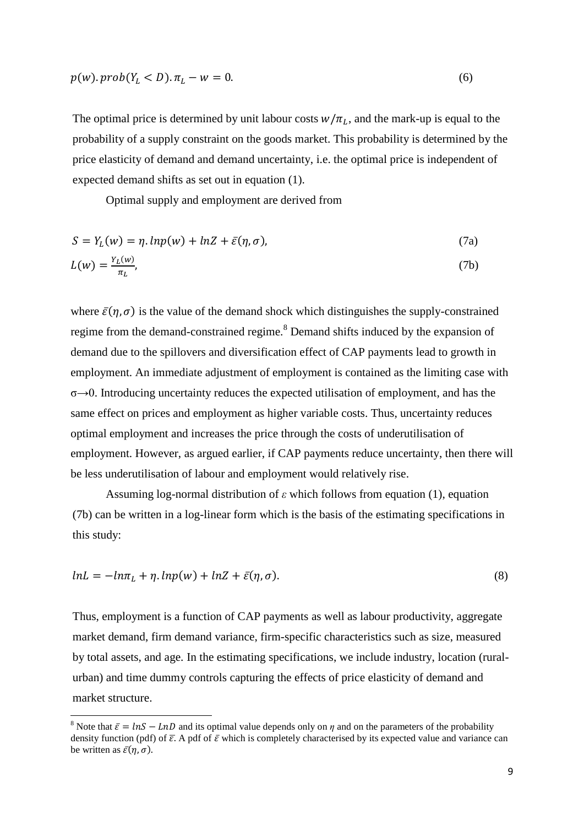$$
p(w).prob(Y_L < D). \pi_L - w = 0. \tag{6}
$$

The optimal price is determined by unit labour costs  $w/\pi_L$ , and the mark-up is equal to the probability of a supply constraint on the goods market. This probability is determined by the price elasticity of demand and demand uncertainty, i.e. the optimal price is independent of expected demand shifts as set out in equation (1).

Optimal supply and employment are derived from

$$
S = Y_L(w) = \eta \cdot \ln p(w) + \ln Z + \bar{\varepsilon}(\eta, \sigma), \tag{7a}
$$

$$
L(w) = \frac{Y_L(w)}{\pi_L},\tag{7b}
$$

where  $\bar{\varepsilon}(\eta, \sigma)$  is the value of the demand shock which distinguishes the supply-constrained regime from the demand-constrained regime.<sup>8</sup> Demand shifts induced by the expansion of demand due to the spillovers and diversification effect of CAP payments lead to growth in employment. An immediate adjustment of employment is contained as the limiting case with  $\sigma \rightarrow 0$ . Introducing uncertainty reduces the expected utilisation of employment, and has the same effect on prices and employment as higher variable costs. Thus, uncertainty reduces optimal employment and increases the price through the costs of underutilisation of employment. However, as argued earlier, if CAP payments reduce uncertainty, then there will be less underutilisation of labour and employment would relatively rise.

Assuming log-normal distribution of  $\varepsilon$  which follows from equation (1), equation (7b) can be written in a log-linear form which is the basis of the estimating specifications in this study:

$$
lnL = -ln\pi_L + \eta \cdot ln p(w) + lnZ + \bar{\varepsilon}(\eta, \sigma).
$$
\n(8)

Thus, employment is a function of CAP payments as well as labour productivity, aggregate market demand, firm demand variance, firm-specific characteristics such as size, measured by total assets, and age. In the estimating specifications, we include industry, location (ruralurban) and time dummy controls capturing the effects of price elasticity of demand and market structure.

<sup>&</sup>lt;sup>8</sup> Note that  $\bar{\varepsilon} = \ln S - \ln D$  and its optimal value depends only on  $\eta$  and on the parameters of the probability density function (pdf) of  $\bar{\varepsilon}$ . A pdf of  $\bar{\varepsilon}$  which is completely characterised by its expected value and variance can be written as  $\bar{\varepsilon}(\eta, \sigma)$ .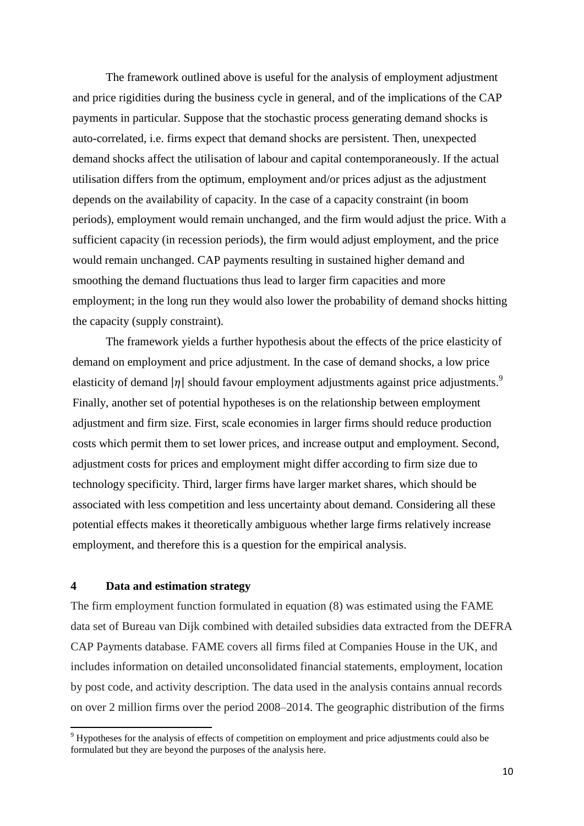The framework outlined above is useful for the analysis of employment adjustment and price rigidities during the business cycle in general, and of the implications of the CAP payments in particular. Suppose that the stochastic process generating demand shocks is auto-correlated, i.e. firms expect that demand shocks are persistent. Then, unexpected demand shocks affect the utilisation of labour and capital contemporaneously. If the actual utilisation differs from the optimum, employment and/or prices adjust as the adjustment depends on the availability of capacity. In the case of a capacity constraint (in boom periods), employment would remain unchanged, and the firm would adjust the price. With a sufficient capacity (in recession periods), the firm would adjust employment, and the price would remain unchanged. CAP payments resulting in sustained higher demand and smoothing the demand fluctuations thus lead to larger firm capacities and more employment; in the long run they would also lower the probability of demand shocks hitting the capacity (supply constraint).

The framework yields a further hypothesis about the effects of the price elasticity of demand on employment and price adjustment. In the case of demand shocks, a low price elasticity of demand  $|\eta|$  should favour employment adjustments against price adjustments.<sup>9</sup> Finally, another set of potential hypotheses is on the relationship between employment adjustment and firm size. First, scale economies in larger firms should reduce production costs which permit them to set lower prices, and increase output and employment. Second, adjustment costs for prices and employment might differ according to firm size due to technology specificity. Third, larger firms have larger market shares, which should be associated with less competition and less uncertainty about demand. Considering all these potential effects makes it theoretically ambiguous whether large firms relatively increase employment, and therefore this is a question for the empirical analysis.

#### **4 Data and estimation strategy**

 $\overline{a}$ 

The firm employment function formulated in equation (8) was estimated using the FAME data set of Bureau van Dijk combined with detailed subsidies data extracted from the DEFRA CAP Payments database. FAME covers all firms filed at Companies House in the UK, and includes information on detailed unconsolidated financial statements, employment, location by post code, and activity description. The data used in the analysis contains annual records on over 2 million firms over the period 2008–2014. The geographic distribution of the firms

<sup>&</sup>lt;sup>9</sup> Hypotheses for the analysis of effects of competition on employment and price adjustments could also be formulated but they are beyond the purposes of the analysis here.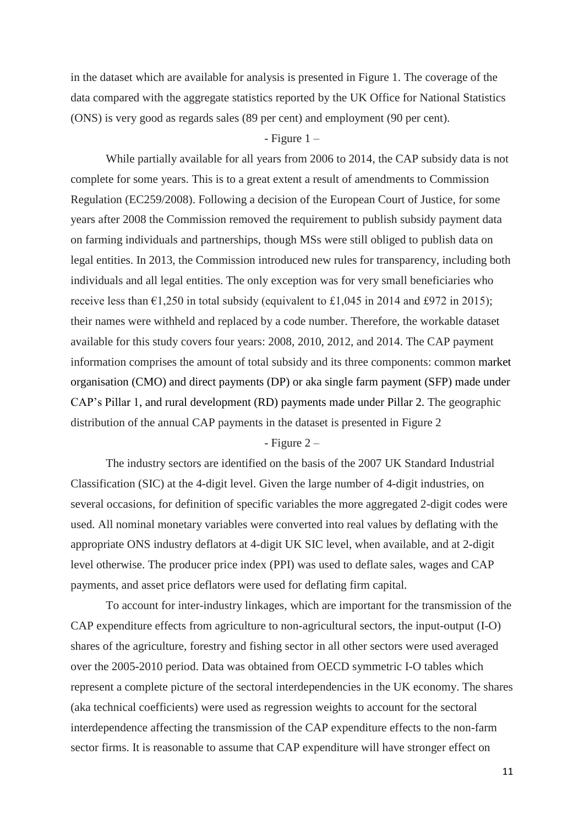in the dataset which are available for analysis is presented in Figure 1. The coverage of the data compared with the aggregate statistics reported by the UK Office for National Statistics (ONS) is very good as regards sales (89 per cent) and employment (90 per cent).

#### $-$  Figure  $1 -$

While partially available for all years from 2006 to 2014, the CAP subsidy data is not complete for some years. This is to a great extent a result of amendments to Commission Regulation (EC259/2008). Following a decision of the European Court of Justice, for some years after 2008 the Commission removed the requirement to publish subsidy payment data on farming individuals and partnerships, though MSs were still obliged to publish data on legal entities. In 2013, the Commission introduced new rules for transparency, including both individuals and all legal entities. The only exception was for very small beneficiaries who receive less than  $\epsilon$ 1,250 in total subsidy (equivalent to £1,045 in 2014 and £972 in 2015); their names were withheld and replaced by a code number. Therefore, the workable dataset available for this study covers four years: 2008, 2010, 2012, and 2014. The CAP payment information comprises the amount of total subsidy and its three components: common market organisation (CMO) and direct payments (DP) or aka single farm payment (SFP) made under CAP's Pillar 1, and rural development (RD) payments made under Pillar 2. The geographic distribution of the annual CAP payments in the dataset is presented in Figure 2

#### - Figure 2 –

The industry sectors are identified on the basis of the 2007 UK Standard Industrial Classification (SIC) at the 4-digit level. Given the large number of 4-digit industries, on several occasions, for definition of specific variables the more aggregated 2-digit codes were used. All nominal monetary variables were converted into real values by deflating with the appropriate ONS industry deflators at 4-digit UK SIC level, when available, and at 2-digit level otherwise. The producer price index (PPI) was used to deflate sales, wages and CAP payments, and asset price deflators were used for deflating firm capital.

To account for inter-industry linkages, which are important for the transmission of the CAP expenditure effects from agriculture to non-agricultural sectors, the input-output (I-O) shares of the agriculture, forestry and fishing sector in all other sectors were used averaged over the 2005-2010 period. Data was obtained from OECD symmetric I-O tables which represent a complete picture of the sectoral interdependencies in the UK economy. The shares (aka technical coefficients) were used as regression weights to account for the sectoral interdependence affecting the transmission of the CAP expenditure effects to the non-farm sector firms. It is reasonable to assume that CAP expenditure will have stronger effect on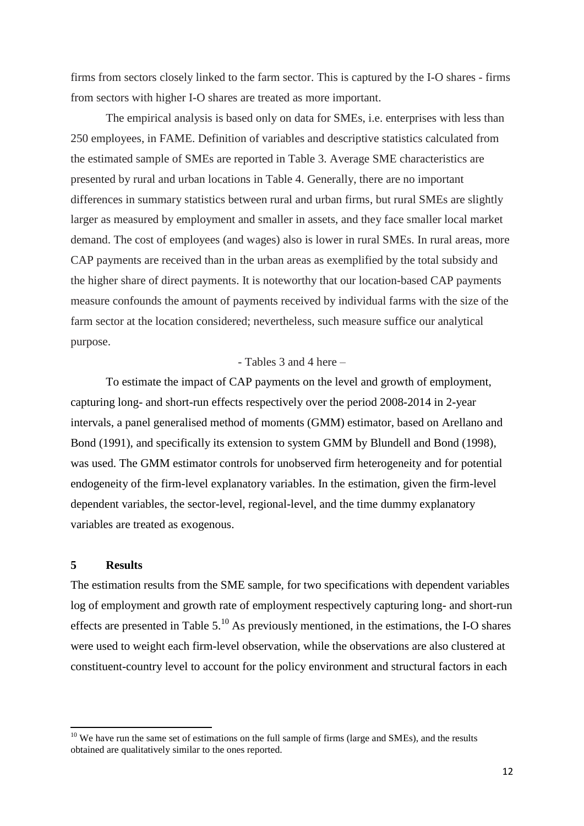firms from sectors closely linked to the farm sector. This is captured by the I-O shares - firms from sectors with higher I-O shares are treated as more important.

The empirical analysis is based only on data for SMEs, i.e. enterprises with less than 250 employees, in FAME. Definition of variables and descriptive statistics calculated from the estimated sample of SMEs are reported in Table 3. Average SME characteristics are presented by rural and urban locations in Table 4. Generally, there are no important differences in summary statistics between rural and urban firms, but rural SMEs are slightly larger as measured by employment and smaller in assets, and they face smaller local market demand. The cost of employees (and wages) also is lower in rural SMEs. In rural areas, more CAP payments are received than in the urban areas as exemplified by the total subsidy and the higher share of direct payments. It is noteworthy that our location-based CAP payments measure confounds the amount of payments received by individual farms with the size of the farm sector at the location considered; nevertheless, such measure suffice our analytical purpose.

#### - Tables 3 and 4 here –

To estimate the impact of CAP payments on the level and growth of employment, capturing long- and short-run effects respectively over the period 2008-2014 in 2-year intervals, a panel generalised method of moments (GMM) estimator, based on Arellano and Bond (1991), and specifically its extension to system GMM by Blundell and Bond (1998), was used. The GMM estimator controls for unobserved firm heterogeneity and for potential endogeneity of the firm-level explanatory variables. In the estimation, given the firm-level dependent variables, the sector-level, regional-level, and the time dummy explanatory variables are treated as exogenous.

#### **5 Results**

 $\overline{a}$ 

The estimation results from the SME sample, for two specifications with dependent variables log of employment and growth rate of employment respectively capturing long- and short-run effects are presented in Table  $5<sup>10</sup>$  As previously mentioned, in the estimations, the I-O shares were used to weight each firm-level observation, while the observations are also clustered at constituent-country level to account for the policy environment and structural factors in each

<sup>&</sup>lt;sup>10</sup> We have run the same set of estimations on the full sample of firms (large and SMEs), and the results obtained are qualitatively similar to the ones reported.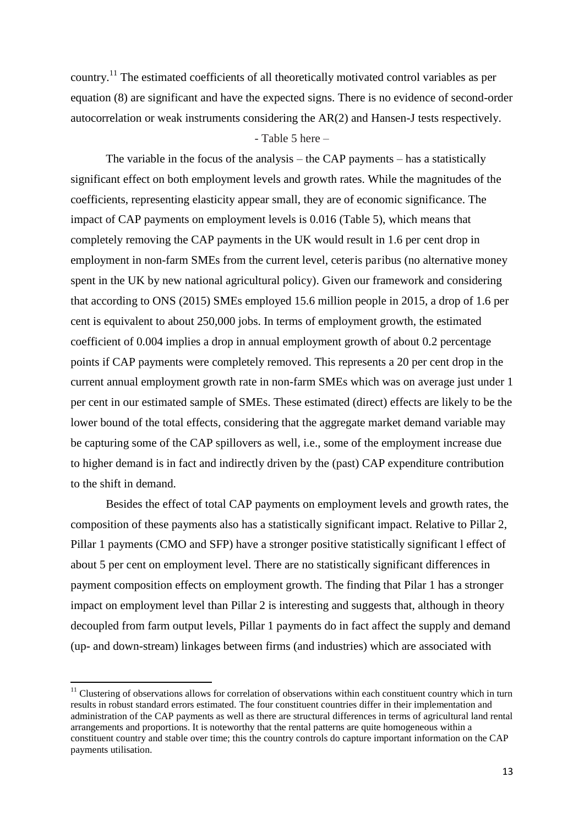country.<sup>11</sup> The estimated coefficients of all theoretically motivated control variables as per equation (8) are significant and have the expected signs. There is no evidence of second-order autocorrelation or weak instruments considering the AR(2) and Hansen-J tests respectively.

#### - Table 5 here –

The variable in the focus of the analysis – the CAP payments – has a statistically significant effect on both employment levels and growth rates. While the magnitudes of the coefficients, representing elasticity appear small, they are of economic significance. The impact of CAP payments on employment levels is 0.016 (Table 5), which means that completely removing the CAP payments in the UK would result in 1.6 per cent drop in employment in non-farm SMEs from the current level, ceteris paribus (no alternative money spent in the UK by new national agricultural policy). Given our framework and considering that according to ONS (2015) SMEs employed 15.6 million people in 2015, a drop of 1.6 per cent is equivalent to about 250,000 jobs. In terms of employment growth, the estimated coefficient of 0.004 implies a drop in annual employment growth of about 0.2 percentage points if CAP payments were completely removed. This represents a 20 per cent drop in the current annual employment growth rate in non-farm SMEs which was on average just under 1 per cent in our estimated sample of SMEs. These estimated (direct) effects are likely to be the lower bound of the total effects, considering that the aggregate market demand variable may be capturing some of the CAP spillovers as well, i.e., some of the employment increase due to higher demand is in fact and indirectly driven by the (past) CAP expenditure contribution to the shift in demand.

Besides the effect of total CAP payments on employment levels and growth rates, the composition of these payments also has a statistically significant impact. Relative to Pillar 2, Pillar 1 payments (CMO and SFP) have a stronger positive statistically significant l effect of about 5 per cent on employment level. There are no statistically significant differences in payment composition effects on employment growth. The finding that Pilar 1 has a stronger impact on employment level than Pillar 2 is interesting and suggests that, although in theory decoupled from farm output levels, Pillar 1 payments do in fact affect the supply and demand (up- and down-stream) linkages between firms (and industries) which are associated with

 $11$  Clustering of observations allows for correlation of observations within each constituent country which in turn results in robust standard errors estimated. The four constituent countries differ in their implementation and administration of the CAP payments as well as there are structural differences in terms of agricultural land rental arrangements and proportions. It is noteworthy that the rental patterns are quite homogeneous within a constituent country and stable over time; this the country controls do capture important information on the CAP payments utilisation.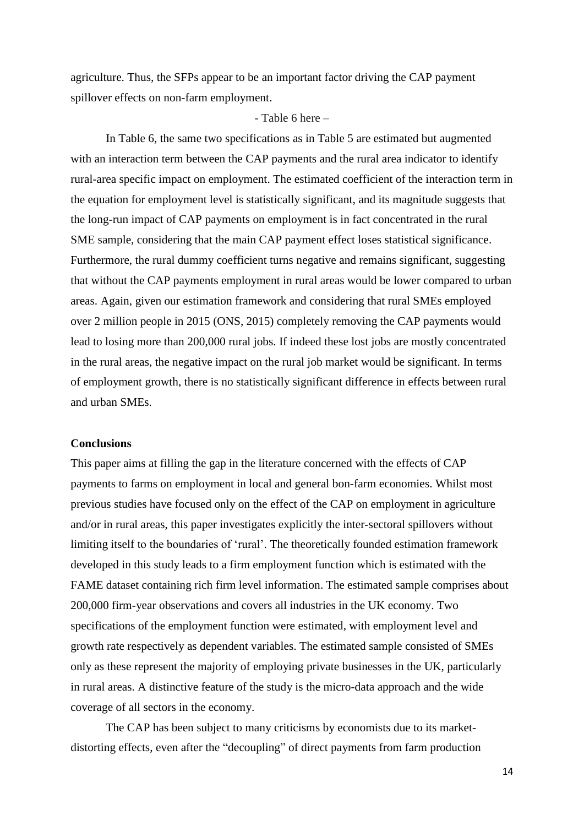agriculture. Thus, the SFPs appear to be an important factor driving the CAP payment spillover effects on non-farm employment.

#### - Table 6 here –

In Table 6, the same two specifications as in Table 5 are estimated but augmented with an interaction term between the CAP payments and the rural area indicator to identify rural-area specific impact on employment. The estimated coefficient of the interaction term in the equation for employment level is statistically significant, and its magnitude suggests that the long-run impact of CAP payments on employment is in fact concentrated in the rural SME sample, considering that the main CAP payment effect loses statistical significance. Furthermore, the rural dummy coefficient turns negative and remains significant, suggesting that without the CAP payments employment in rural areas would be lower compared to urban areas. Again, given our estimation framework and considering that rural SMEs employed over 2 million people in 2015 (ONS, 2015) completely removing the CAP payments would lead to losing more than 200,000 rural jobs. If indeed these lost jobs are mostly concentrated in the rural areas, the negative impact on the rural job market would be significant. In terms of employment growth, there is no statistically significant difference in effects between rural and urban SMEs.

#### **Conclusions**

This paper aims at filling the gap in the literature concerned with the effects of CAP payments to farms on employment in local and general bon-farm economies. Whilst most previous studies have focused only on the effect of the CAP on employment in agriculture and/or in rural areas, this paper investigates explicitly the inter-sectoral spillovers without limiting itself to the boundaries of 'rural'. The theoretically founded estimation framework developed in this study leads to a firm employment function which is estimated with the FAME dataset containing rich firm level information. The estimated sample comprises about 200,000 firm-year observations and covers all industries in the UK economy. Two specifications of the employment function were estimated, with employment level and growth rate respectively as dependent variables. The estimated sample consisted of SMEs only as these represent the majority of employing private businesses in the UK, particularly in rural areas. A distinctive feature of the study is the micro-data approach and the wide coverage of all sectors in the economy.

The CAP has been subject to many criticisms by economists due to its marketdistorting effects, even after the "decoupling" of direct payments from farm production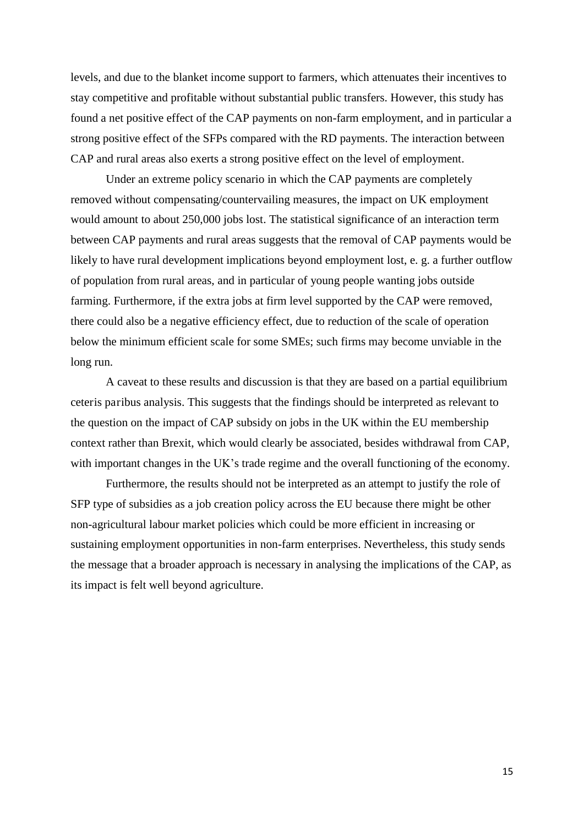levels, and due to the blanket income support to farmers, which attenuates their incentives to stay competitive and profitable without substantial public transfers. However, this study has found a net positive effect of the CAP payments on non-farm employment, and in particular a strong positive effect of the SFPs compared with the RD payments. The interaction between CAP and rural areas also exerts a strong positive effect on the level of employment.

Under an extreme policy scenario in which the CAP payments are completely removed without compensating/countervailing measures, the impact on UK employment would amount to about 250,000 jobs lost. The statistical significance of an interaction term between CAP payments and rural areas suggests that the removal of CAP payments would be likely to have rural development implications beyond employment lost, e. g. a further outflow of population from rural areas, and in particular of young people wanting jobs outside farming. Furthermore, if the extra jobs at firm level supported by the CAP were removed, there could also be a negative efficiency effect, due to reduction of the scale of operation below the minimum efficient scale for some SMEs; such firms may become unviable in the long run.

A caveat to these results and discussion is that they are based on a partial equilibrium ceteris paribus analysis. This suggests that the findings should be interpreted as relevant to the question on the impact of CAP subsidy on jobs in the UK within the EU membership context rather than Brexit, which would clearly be associated, besides withdrawal from CAP, with important changes in the UK's trade regime and the overall functioning of the economy.

Furthermore, the results should not be interpreted as an attempt to justify the role of SFP type of subsidies as a job creation policy across the EU because there might be other non-agricultural labour market policies which could be more efficient in increasing or sustaining employment opportunities in non-farm enterprises. Nevertheless, this study sends the message that a broader approach is necessary in analysing the implications of the CAP, as its impact is felt well beyond agriculture.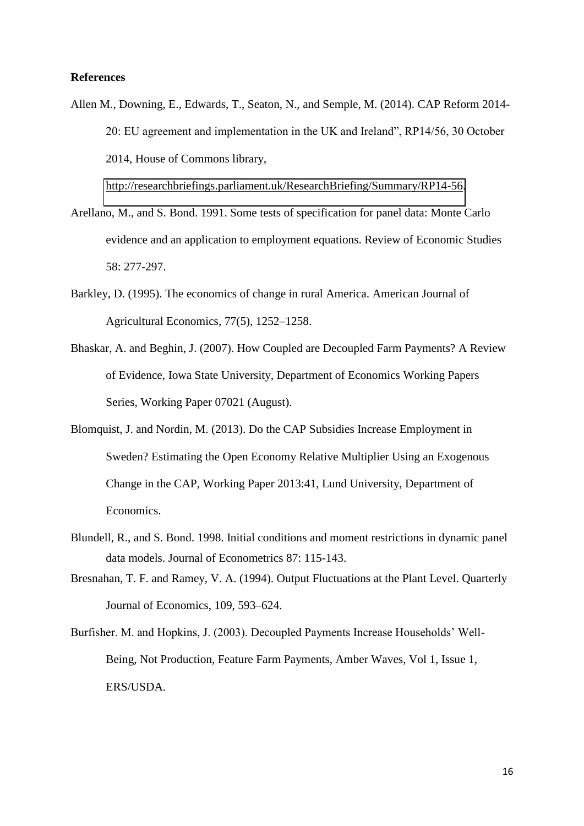#### **References**

Allen M., Downing, E., Edwards, T., Seaton, N., and Semple, M. (2014). CAP Reform 2014- 20: EU agreement and implementation in the UK and Ireland", RP14/56, 30 October 2014, House of Commons library,

[http://researchbriefings.parliament.uk/ResearchBriefing/Summary/RP14-56.](http://researchbriefings.parliament.uk/ResearchBriefing/Summary/RP14-56)

- Arellano, M., and S. Bond. 1991. Some tests of specification for panel data: Monte Carlo evidence and an application to employment equations. Review of Economic Studies 58: 277-297.
- Barkley, D. (1995). The economics of change in rural America. American Journal of Agricultural Economics, 77(5), 1252–1258.
- Bhaskar, A. and Beghin, J. (2007). How Coupled are Decoupled Farm Payments? A Review of Evidence, Iowa State University, Department of Economics Working Papers Series, Working Paper 07021 (August).
- Blomquist, J. and Nordin, M. (2013). Do the CAP Subsidies Increase Employment in Sweden? Estimating the Open Economy Relative Multiplier Using an Exogenous Change in the CAP, Working Paper 2013:41, Lund University, Department of Economics.
- Blundell, R., and S. Bond. 1998. Initial conditions and moment restrictions in dynamic panel data models. Journal of Econometrics 87: 115-143.
- Bresnahan, T. F. and Ramey, V. A. (1994). Output Fluctuations at the Plant Level. Quarterly Journal of Economics, 109, 593–624.
- Burfisher. M. and Hopkins, J. (2003). Decoupled Payments Increase Households' Well-Being, Not Production, Feature Farm Payments, Amber Waves, Vol 1, Issue 1, ERS/USDA.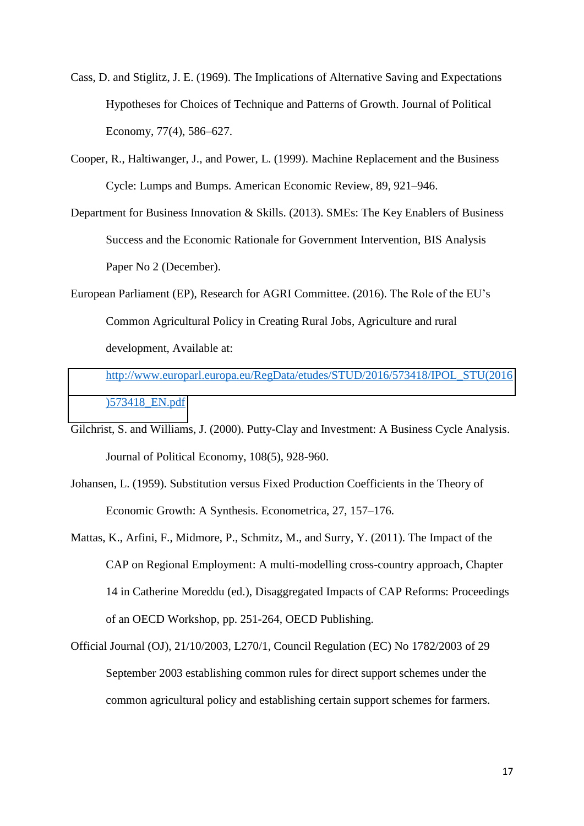- Cass, D. and Stiglitz, J. E. (1969). The Implications of Alternative Saving and Expectations Hypotheses for Choices of Technique and Patterns of Growth. Journal of Political Economy, 77(4), 586–627.
- Cooper, R., Haltiwanger, J., and Power, L. (1999). Machine Replacement and the Business Cycle: Lumps and Bumps. American Economic Review, 89, 921–946.
- Department for Business Innovation & Skills. (2013). SMEs: The Key Enablers of Business Success and the Economic Rationale for Government Intervention, BIS Analysis Paper No 2 (December).
- European Parliament (EP), Research for AGRI Committee. (2016). The Role of the EU's Common Agricultural Policy in Creating Rural Jobs, Agriculture and rural development, Available at:

[http://www.europarl.europa.eu/RegData/etudes/STUD/2016/573418/IPOL\\_STU\(2016](http://www.europarl.europa.eu/RegData/etudes/STUD/2016/573418/IPOL_STU(2016)573418_EN.pdf) [\)573418\\_EN.pdf](http://www.europarl.europa.eu/RegData/etudes/STUD/2016/573418/IPOL_STU(2016)573418_EN.pdf)

- Gilchrist, S. and Williams, J. (2000). Putty-Clay and Investment: A Business Cycle Analysis. Journal of Political Economy, 108(5), 928-960.
- Johansen, L. (1959). Substitution versus Fixed Production Coefficients in the Theory of Economic Growth: A Synthesis. Econometrica, 27, 157–176.
- Mattas, K., Arfini, F., Midmore, P., Schmitz, M., and Surry, Y. (2011). The Impact of the CAP on Regional Employment: A multi-modelling cross-country approach, Chapter 14 in Catherine Moreddu (ed.), Disaggregated Impacts of CAP Reforms: Proceedings of an OECD Workshop, pp. 251-264, OECD Publishing.
- Official Journal (OJ), 21/10/2003, L270/1, Council Regulation (EC) No 1782/2003 of 29 September 2003 establishing common rules for direct support schemes under the common agricultural policy and establishing certain support schemes for farmers.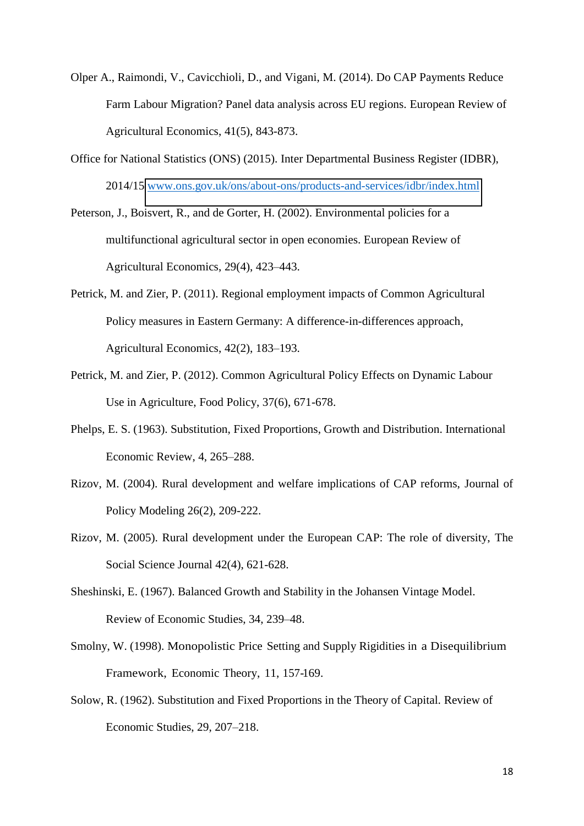- Olper A., Raimondi, V., Cavicchioli, D., and Vigani, M. (2014). Do CAP Payments Reduce Farm Labour Migration? Panel data analysis across EU regions. European Review of Agricultural Economics, 41(5), 843-873.
- Office for National Statistics (ONS) (2015). Inter Departmental Business Register (IDBR), 2014/15 [www.ons.gov.uk/ons/about-ons/products-and-services/idbr/index.html](http://www.ons.gov.uk/ons/about-ons/products-and-services/idbr/index.html)
- Peterson, J., Boisvert, R., and de Gorter, H. (2002). Environmental policies for a multifunctional agricultural sector in open economies. European Review of Agricultural Economics, 29(4), 423–443.
- Petrick, M. and Zier, P. (2011). Regional employment impacts of Common Agricultural Policy measures in Eastern Germany: A difference-in-differences approach, Agricultural Economics, 42(2), 183–193.
- Petrick, M. and Zier, P. (2012). Common Agricultural Policy Effects on Dynamic Labour Use in Agriculture, Food Policy, 37(6), 671-678.
- Phelps, E. S. (1963). Substitution, Fixed Proportions, Growth and Distribution. International Economic Review, 4, 265–288.
- Rizov, M. (2004). Rural development and welfare implications of CAP reforms, Journal of Policy Modeling 26(2), 209-222.
- Rizov, M. (2005). Rural development under the European CAP: The role of diversity, The Social Science Journal  $42(4)$ , 621-628.
- Sheshinski, E. (1967). Balanced Growth and Stability in the Johansen Vintage Model. Review of Economic Studies, 34, 239–48.
- Smolny, W. (1998). Monopolistic Price Setting and Supply Rigidities in a Disequilibrium Framework, Economic Theory, 11, 157-169.
- Solow, R. (1962). Substitution and Fixed Proportions in the Theory of Capital. Review of Economic Studies, 29, 207–218.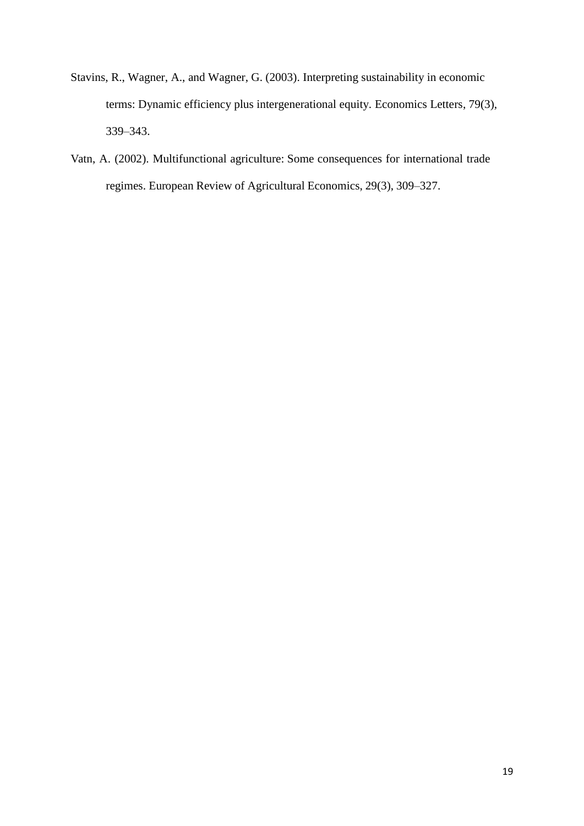- Stavins, R., Wagner, A., and Wagner, G. (2003). Interpreting sustainability in economic terms: Dynamic efficiency plus intergenerational equity. Economics Letters, 79(3), 339–343.
- Vatn, A. (2002). Multifunctional agriculture: Some consequences for international trade regimes. European Review of Agricultural Economics, 29(3), 309–327.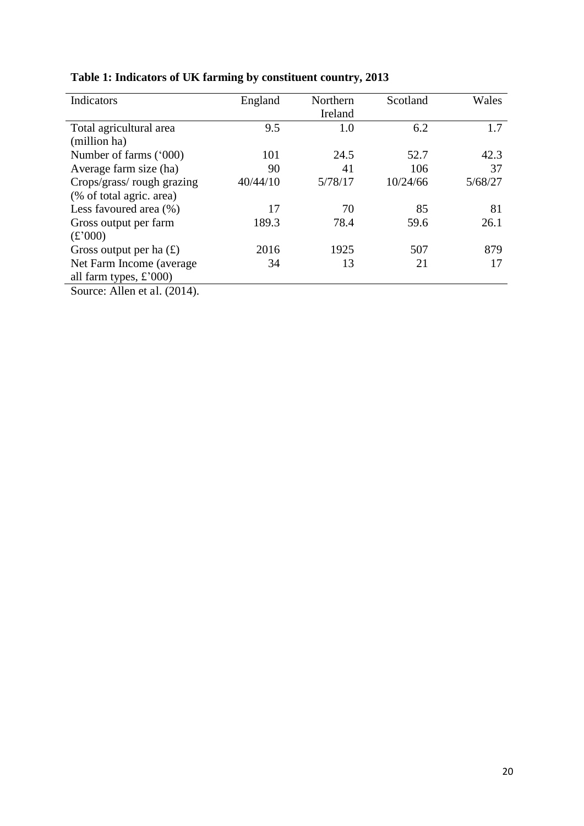| Indicators                      | England  | Northern | Scotland | Wales   |
|---------------------------------|----------|----------|----------|---------|
|                                 |          | Ireland  |          |         |
| Total agricultural area         | 9.5      | 1.0      | 6.2      | 1.7     |
| (million ha)                    |          |          |          |         |
| Number of farms ('000)          | 101      | 24.5     | 52.7     | 42.3    |
| Average farm size (ha)          | 90       | 41       | 106      | 37      |
| Crops/grass/rough grazing       | 40/44/10 | 5/78/17  | 10/24/66 | 5/68/27 |
| (% of total agric. area)        |          |          |          |         |
| Less favoured area (%)          | 17       | 70       | 85       | 81      |
| Gross output per farm           | 189.3    | 78.4     | 59.6     | 26.1    |
| (f'000)                         |          |          |          |         |
| Gross output per ha $(E)$       | 2016     | 1925     | 507      | 879     |
| Net Farm Income (average)       | 34       | 13       | 21       | 17      |
| all farm types, $\pounds$ '000) |          |          |          |         |
| Source: Allen et al. (2014).    |          |          |          |         |

**Table 1: Indicators of UK farming by constituent country, 2013**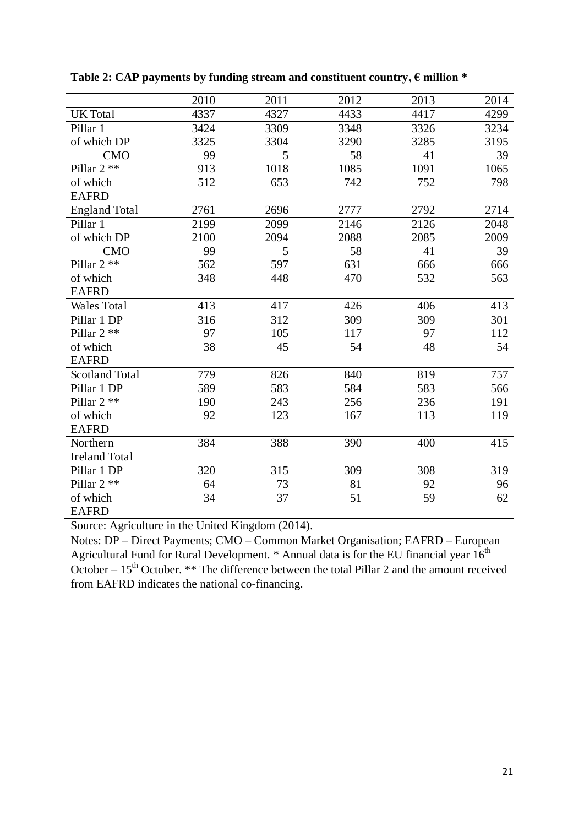|                       | 2010 | 2011 | 2012 | 2013 | 2014 |
|-----------------------|------|------|------|------|------|
| <b>UK</b> Total       | 4337 | 4327 | 4433 | 4417 | 4299 |
| Pillar 1              | 3424 | 3309 | 3348 | 3326 | 3234 |
| of which DP           | 3325 | 3304 | 3290 | 3285 | 3195 |
| <b>CMO</b>            | 99   | 5    | 58   | 41   | 39   |
| Pillar 2 **           | 913  | 1018 | 1085 | 1091 | 1065 |
| of which              | 512  | 653  | 742  | 752  | 798  |
| <b>EAFRD</b>          |      |      |      |      |      |
| <b>England Total</b>  | 2761 | 2696 | 2777 | 2792 | 2714 |
| Pillar 1              | 2199 | 2099 | 2146 | 2126 | 2048 |
| of which DP           | 2100 | 2094 | 2088 | 2085 | 2009 |
| <b>CMO</b>            | 99   | 5    | 58   | 41   | 39   |
| Pillar $2$ **         | 562  | 597  | 631  | 666  | 666  |
| of which              | 348  | 448  | 470  | 532  | 563  |
| <b>EAFRD</b>          |      |      |      |      |      |
| <b>Wales Total</b>    | 413  | 417  | 426  | 406  | 413  |
| Pillar 1 DP           | 316  | 312  | 309  | 309  | 301  |
| Pillar 2 **           | 97   | 105  | 117  | 97   | 112  |
| of which              | 38   | 45   | 54   | 48   | 54   |
| <b>EAFRD</b>          |      |      |      |      |      |
| <b>Scotland Total</b> | 779  | 826  | 840  | 819  | 757  |
| Pillar 1 DP           | 589  | 583  | 584  | 583  | 566  |
| Pillar $2$ **         | 190  | 243  | 256  | 236  | 191  |
| of which              | 92   | 123  | 167  | 113  | 119  |
| <b>EAFRD</b>          |      |      |      |      |      |
| Northern              | 384  | 388  | 390  | 400  | 415  |
| <b>Ireland Total</b>  |      |      |      |      |      |
| Pillar 1 DP           | 320  | 315  | 309  | 308  | 319  |
| Pillar $2$ **         | 64   | 73   | 81   | 92   | 96   |
| of which              | 34   | 37   | 51   | 59   | 62   |
| <b>EAFRD</b>          |      |      |      |      |      |

Table 2: CAP payments by funding stream and constituent country,  $\epsilon$  million  $*$ 

Source: Agriculture in the United Kingdom (2014).

Notes: DP – Direct Payments; CMO – Common Market Organisation; EAFRD – European Agricultural Fund for Rural Development.  $*$  Annual data is for the EU financial year  $16<sup>th</sup>$ October –  $15<sup>th</sup>$  October. \*\* The difference between the total Pillar 2 and the amount received from EAFRD indicates the national co-financing.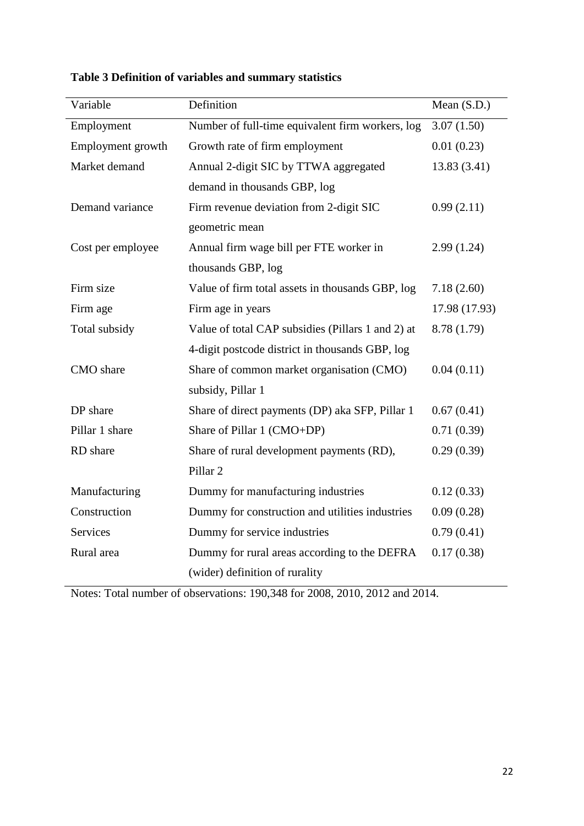| Variable          | Definition                                        | Mean $(S.D.)$ |
|-------------------|---------------------------------------------------|---------------|
| Employment        | Number of full-time equivalent firm workers, log  | 3.07(1.50)    |
| Employment growth | Growth rate of firm employment                    | 0.01(0.23)    |
| Market demand     | Annual 2-digit SIC by TTWA aggregated             | 13.83 (3.41)  |
|                   | demand in thousands GBP, log                      |               |
| Demand variance   | Firm revenue deviation from 2-digit SIC           | 0.99(2.11)    |
|                   | geometric mean                                    |               |
| Cost per employee | Annual firm wage bill per FTE worker in           | 2.99(1.24)    |
|                   | thousands GBP, log                                |               |
| Firm size         | Value of firm total assets in thousands GBP, log  | 7.18(2.60)    |
| Firm age          | Firm age in years                                 | 17.98 (17.93) |
| Total subsidy     | Value of total CAP subsidies (Pillars 1 and 2) at | 8.78 (1.79)   |
|                   | 4-digit postcode district in thousands GBP, log   |               |
| CMO share         | Share of common market organisation (CMO)         | 0.04(0.11)    |
|                   | subsidy, Pillar 1                                 |               |
| DP share          | Share of direct payments (DP) aka SFP, Pillar 1   | 0.67(0.41)    |
| Pillar 1 share    | Share of Pillar 1 (CMO+DP)                        | 0.71(0.39)    |
| RD share          | Share of rural development payments (RD),         | 0.29(0.39)    |
|                   | Pillar <sub>2</sub>                               |               |
| Manufacturing     | Dummy for manufacturing industries                | 0.12(0.33)    |
| Construction      | Dummy for construction and utilities industries   | 0.09(0.28)    |
| Services          | Dummy for service industries                      | 0.79(0.41)    |
| Rural area        | Dummy for rural areas according to the DEFRA      | 0.17(0.38)    |
|                   | (wider) definition of rurality                    |               |

|  |  |  | Table 3 Definition of variables and summary statistics |
|--|--|--|--------------------------------------------------------|
|--|--|--|--------------------------------------------------------|

Notes: Total number of observations: 190,348 for 2008, 2010, 2012 and 2014.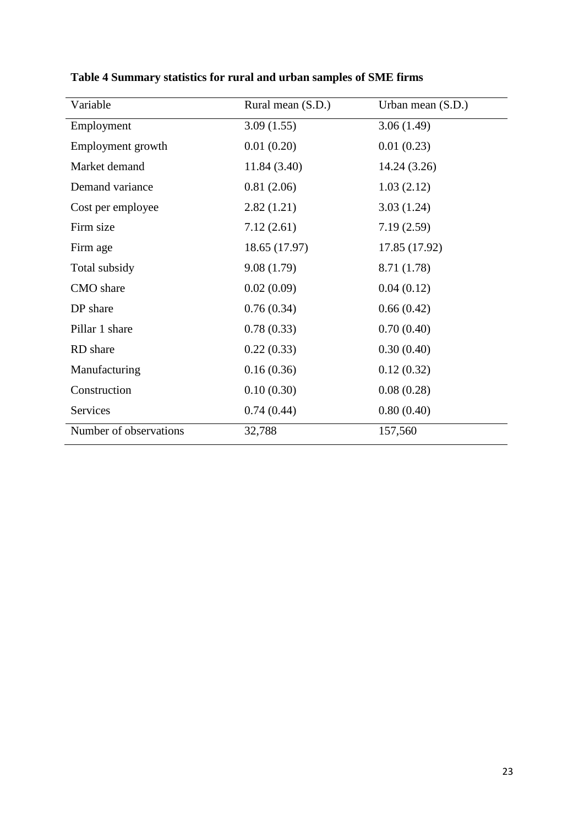| Variable               | Rural mean (S.D.) | Urban mean (S.D.) |
|------------------------|-------------------|-------------------|
| Employment             | 3.09(1.55)        | 3.06(1.49)        |
| Employment growth      | 0.01(0.20)        | 0.01(0.23)        |
| Market demand          | 11.84(3.40)       | 14.24 (3.26)      |
| Demand variance        | 0.81(2.06)        | 1.03(2.12)        |
| Cost per employee      | 2.82(1.21)        | 3.03(1.24)        |
| Firm size              | 7.12(2.61)        | 7.19(2.59)        |
| Firm age               | 18.65 (17.97)     | 17.85 (17.92)     |
| Total subsidy          | 9.08(1.79)        | 8.71 (1.78)       |
| CMO share              | 0.02(0.09)        | 0.04(0.12)        |
| DP share               | 0.76(0.34)        | 0.66(0.42)        |
| Pillar 1 share         | 0.78(0.33)        | 0.70(0.40)        |
| RD share               | 0.22(0.33)        | 0.30(0.40)        |
| Manufacturing          | 0.16(0.36)        | 0.12(0.32)        |
| Construction           | 0.10(0.30)        | 0.08(0.28)        |
| Services               | 0.74(0.44)        | 0.80(0.40)        |
| Number of observations | 32,788            | 157,560           |

**Table 4 Summary statistics for rural and urban samples of SME firms**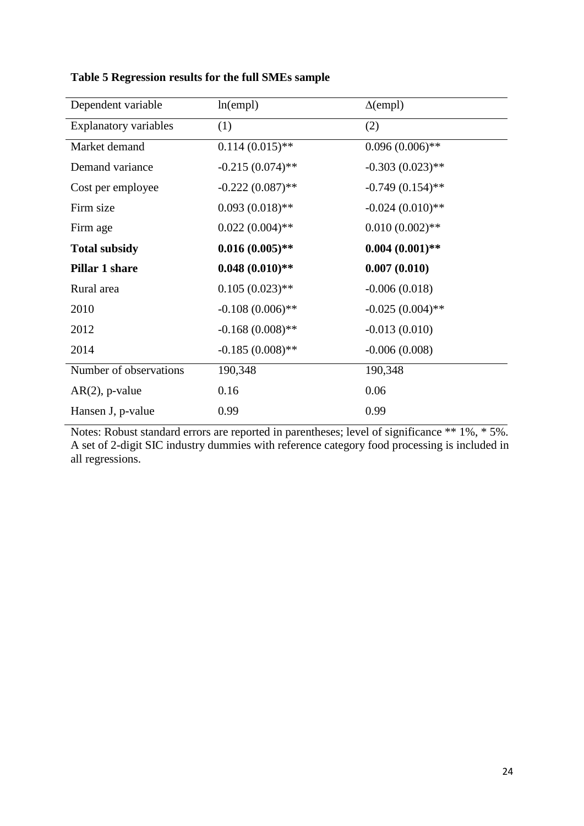| Dependent variable           | ln(empl)           | $\Delta$ (empl)    |
|------------------------------|--------------------|--------------------|
| <b>Explanatory variables</b> | (1)                | (2)                |
| Market demand                | $0.114(0.015)$ **  | $0.096(0.006)$ **  |
| Demand variance              | $-0.215(0.074)$ ** | $-0.303(0.023)$ ** |
| Cost per employee            | $-0.222(0.087)$ ** | $-0.749(0.154)$ ** |
| Firm size                    | $0.093(0.018)$ **  | $-0.024(0.010)$ ** |
| Firm age                     | $0.022(0.004)$ **  | $0.010(0.002)$ **  |
| <b>Total subsidy</b>         | $0.016(0.005)$ **  | $0.004(0.001)$ **  |
| Pillar 1 share               | $0.048(0.010)**$   | 0.007(0.010)       |
| Rural area                   | $0.105(0.023)$ **  | $-0.006(0.018)$    |
| 2010                         | $-0.108(0.006)$ ** | $-0.025(0.004)$ ** |
| 2012                         | $-0.168(0.008)$ ** | $-0.013(0.010)$    |
| 2014                         | $-0.185(0.008)$ ** | $-0.006(0.008)$    |
| Number of observations       | 190,348            | 190,348            |
| $AR(2)$ , p-value            | 0.16               | 0.06               |
| Hansen J, p-value            | 0.99               | 0.99               |

#### **Table 5 Regression results for the full SMEs sample**

Notes: Robust standard errors are reported in parentheses; level of significance \*\* 1%, \* 5%. A set of 2-digit SIC industry dummies with reference category food processing is included in all regressions.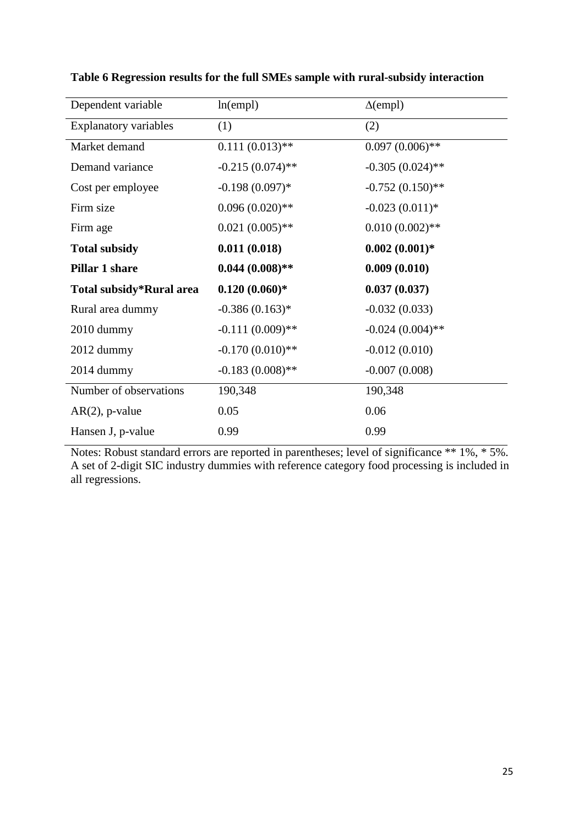| Dependent variable           | ln(empl)           | $\Delta$ (empl)    |
|------------------------------|--------------------|--------------------|
| <b>Explanatory variables</b> | (1)                | (2)                |
| Market demand                | $0.111(0.013)$ **  | $0.097(0.006)$ **  |
| Demand variance              | $-0.215(0.074)$ ** | $-0.305(0.024)$ ** |
| Cost per employee            | $-0.198(0.097)*$   | $-0.752(0.150)$ ** |
| Firm size                    | $0.096(0.020)$ **  | $-0.023(0.011)*$   |
| Firm age                     | $0.021(0.005)$ **  | $0.010(0.002)$ **  |
| <b>Total subsidy</b>         | 0.011(0.018)       | $0.002(0.001)*$    |
| Pillar 1 share               | $0.044~(0.008)**$  | 0.009(0.010)       |
| Total subsidy*Rural area     | $0.120(0.060)*$    | 0.037(0.037)       |
| Rural area dummy             | $-0.386(0.163)*$   | $-0.032(0.033)$    |
| 2010 dummy                   | $-0.111(0.009)$ ** | $-0.024(0.004)$ ** |
| 2012 dummy                   | $-0.170(0.010)$ ** | $-0.012(0.010)$    |
| 2014 dummy                   | $-0.183(0.008)$ ** | $-0.007(0.008)$    |
| Number of observations       | 190,348            | 190,348            |
| $AR(2)$ , p-value            | 0.05               | 0.06               |
| Hansen J, p-value            | 0.99               | 0.99               |

**Table 6 Regression results for the full SMEs sample with rural-subsidy interaction** 

Notes: Robust standard errors are reported in parentheses; level of significance \*\* 1%, \* 5%. A set of 2-digit SIC industry dummies with reference category food processing is included in all regressions.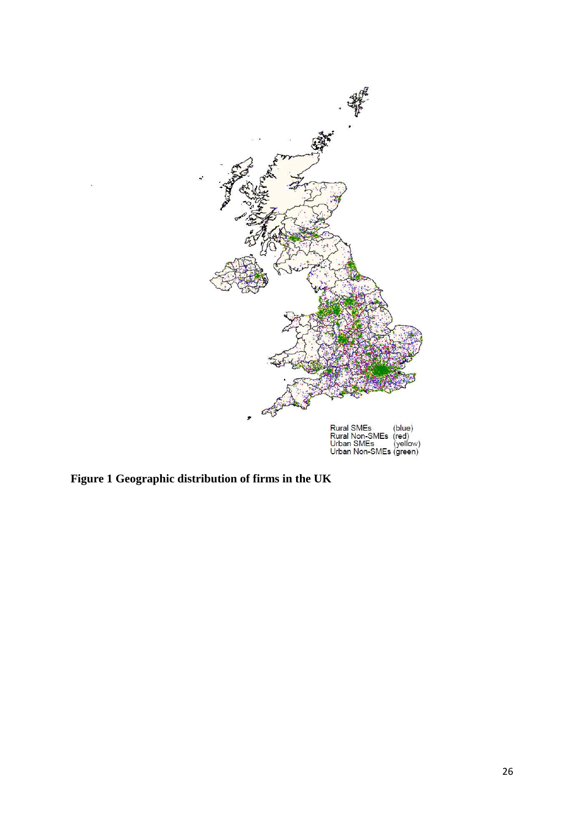

**Figure 1 Geographic distribution of firms in the UK**